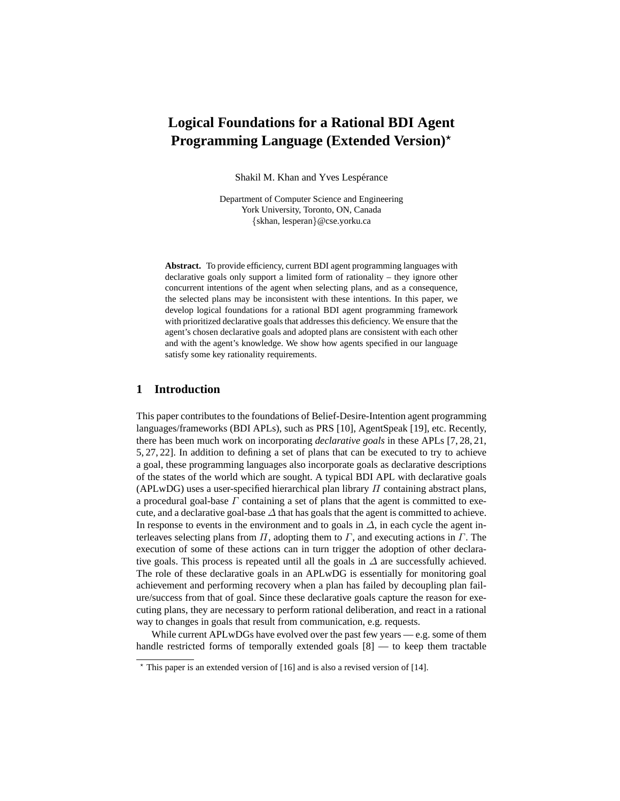# **Logical Foundations for a Rational BDI Agent Programming Language (Extended Version)**?

Shakil M. Khan and Yves Lespérance

Department of Computer Science and Engineering York University, Toronto, ON, Canada {skhan, lesperan}@cse.yorku.ca

**Abstract.** To provide efficiency, current BDI agent programming languages with declarative goals only support a limited form of rationality – they ignore other concurrent intentions of the agent when selecting plans, and as a consequence, the selected plans may be inconsistent with these intentions. In this paper, we develop logical foundations for a rational BDI agent programming framework with prioritized declarative goals that addresses this deficiency. We ensure that the agent's chosen declarative goals and adopted plans are consistent with each other and with the agent's knowledge. We show how agents specified in our language satisfy some key rationality requirements.

## **1 Introduction**

This paper contributes to the foundations of Belief-Desire-Intention agent programming languages/frameworks (BDI APLs), such as PRS [10], AgentSpeak [19], etc. Recently, there has been much work on incorporating *declarative goals* in these APLs [7, 28, 21, 5, 27, 22]. In addition to defining a set of plans that can be executed to try to achieve a goal, these programming languages also incorporate goals as declarative descriptions of the states of the world which are sought. A typical BDI APL with declarative goals (APLwDG) uses a user-specified hierarchical plan library  $\Pi$  containing abstract plans, a procedural goal-base  $\Gamma$  containing a set of plans that the agent is committed to execute, and a declarative goal-base  $\Delta$  that has goals that the agent is committed to achieve. In response to events in the environment and to goals in  $\Delta$ , in each cycle the agent interleaves selecting plans from  $\Pi$ , adopting them to  $\Gamma$ , and executing actions in  $\Gamma$ . The execution of some of these actions can in turn trigger the adoption of other declarative goals. This process is repeated until all the goals in  $\Delta$  are successfully achieved. The role of these declarative goals in an APLwDG is essentially for monitoring goal achievement and performing recovery when a plan has failed by decoupling plan failure/success from that of goal. Since these declarative goals capture the reason for executing plans, they are necessary to perform rational deliberation, and react in a rational way to changes in goals that result from communication, e.g. requests.

While current APLwDGs have evolved over the past few years — e.g. some of them handle restricted forms of temporally extended goals [8] — to keep them tractable

 $*$  This paper is an extended version of [16] and is also a revised version of [14].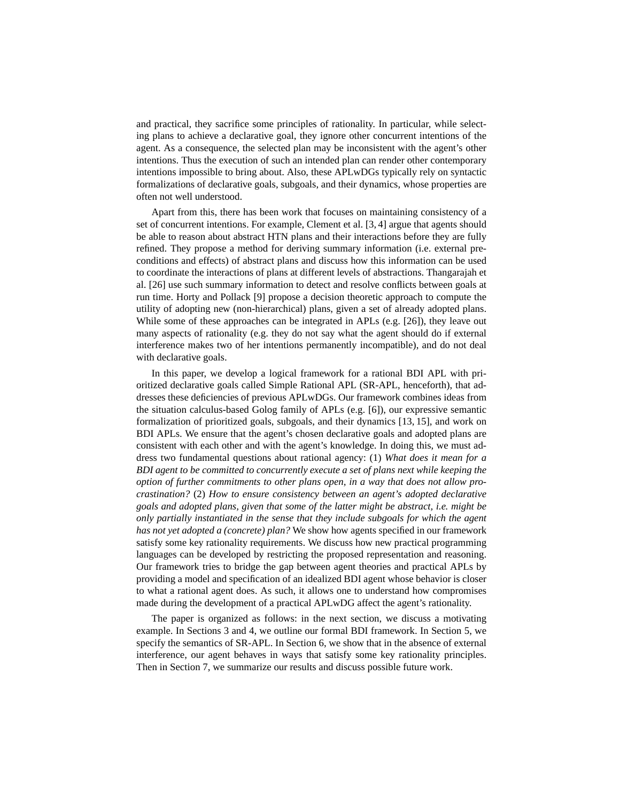and practical, they sacrifice some principles of rationality. In particular, while selecting plans to achieve a declarative goal, they ignore other concurrent intentions of the agent. As a consequence, the selected plan may be inconsistent with the agent's other intentions. Thus the execution of such an intended plan can render other contemporary intentions impossible to bring about. Also, these APLwDGs typically rely on syntactic formalizations of declarative goals, subgoals, and their dynamics, whose properties are often not well understood.

Apart from this, there has been work that focuses on maintaining consistency of a set of concurrent intentions. For example, Clement et al. [3, 4] argue that agents should be able to reason about abstract HTN plans and their interactions before they are fully refined. They propose a method for deriving summary information (i.e. external preconditions and effects) of abstract plans and discuss how this information can be used to coordinate the interactions of plans at different levels of abstractions. Thangarajah et al. [26] use such summary information to detect and resolve conflicts between goals at run time. Horty and Pollack [9] propose a decision theoretic approach to compute the utility of adopting new (non-hierarchical) plans, given a set of already adopted plans. While some of these approaches can be integrated in APLs (e.g. [26]), they leave out many aspects of rationality (e.g. they do not say what the agent should do if external interference makes two of her intentions permanently incompatible), and do not deal with declarative goals.

In this paper, we develop a logical framework for a rational BDI APL with prioritized declarative goals called Simple Rational APL (SR-APL, henceforth), that addresses these deficiencies of previous APLwDGs. Our framework combines ideas from the situation calculus-based Golog family of APLs (e.g. [6]), our expressive semantic formalization of prioritized goals, subgoals, and their dynamics [13, 15], and work on BDI APLs. We ensure that the agent's chosen declarative goals and adopted plans are consistent with each other and with the agent's knowledge. In doing this, we must address two fundamental questions about rational agency: (1) *What does it mean for a BDI agent to be committed to concurrently execute a set of plans next while keeping the option of further commitments to other plans open, in a way that does not allow procrastination?* (2) *How to ensure consistency between an agent's adopted declarative goals and adopted plans, given that some of the latter might be abstract, i.e. might be only partially instantiated in the sense that they include subgoals for which the agent has not yet adopted a (concrete) plan?* We show how agents specified in our framework satisfy some key rationality requirements. We discuss how new practical programming languages can be developed by restricting the proposed representation and reasoning. Our framework tries to bridge the gap between agent theories and practical APLs by providing a model and specification of an idealized BDI agent whose behavior is closer to what a rational agent does. As such, it allows one to understand how compromises made during the development of a practical APLwDG affect the agent's rationality.

The paper is organized as follows: in the next section, we discuss a motivating example. In Sections 3 and 4, we outline our formal BDI framework. In Section 5, we specify the semantics of SR-APL. In Section 6, we show that in the absence of external interference, our agent behaves in ways that satisfy some key rationality principles. Then in Section 7, we summarize our results and discuss possible future work.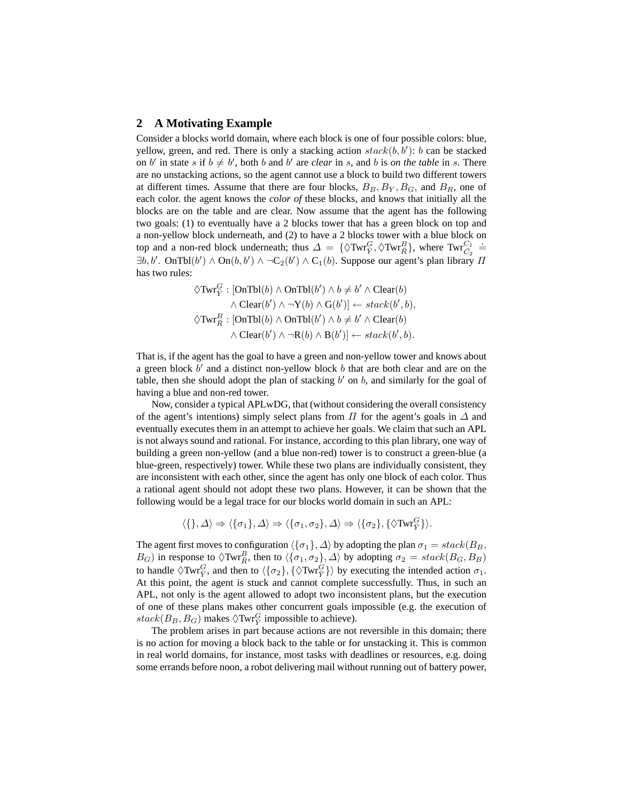### **2 A Motivating Example**

Consider a blocks world domain, where each block is one of four possible colors: blue, yellow, green, and red. There is only a stacking action  $stack(b, b')$ : b can be stacked on b' in state s if  $b \neq b'$ , both b and b' are *clear* in s, and b is *on the table* in s. There are no unstacking actions, so the agent cannot use a block to build two different towers at different times. Assume that there are four blocks,  $B_B$ ,  $B_Y$ ,  $B_G$ , and  $B_R$ , one of each color. the agent knows the *color of* these blocks, and knows that initially all the blocks are on the table and are clear. Now assume that the agent has the following two goals: (1) to eventually have a 2 blocks tower that has a green block on top and a non-yellow block underneath, and (2) to have a 2 blocks tower with a blue block on top and a non-red block underneath; thus  $\Delta = \{ \sqrt{x} \text{Iwr}_{S}^{G}, \sqrt{x} \text{Iwr}_{R}^{B} \}$ , where  $\text{Twr}_{C_2}^{C_1} =$  $\exists b, b'$ . OnTbl $(b') \wedge \text{On}(b, b') \wedge \neg \text{C}_2(b') \wedge \text{C}_1(b)$ . Suppose our agent's plan library  $\Pi$ has two rules:

$$
\Diamond \text{Twr}_{Y}^{G} : [\text{OnTbl}(b) \land \text{OnTbl}(b') \land b \neq b' \land \text{Clear}(b) \land \text{Clear}(b') \land \neg Y(b) \land G(b')] \leftarrow stack(b', b), \Diamond \text{Twr}_{R}^{B} : [\text{OnTbl}(b) \land \text{OnTbl}(b') \land b \neq b' \land \text{Clear}(b) \land \text{Clear}(b') \land \neg R(b) \land B(b')] \leftarrow stack(b', b).
$$

That is, if the agent has the goal to have a green and non-yellow tower and knows about a green block  $b'$  and a distinct non-yellow block  $b$  that are both clear and are on the table, then she should adopt the plan of stacking  $b'$  on  $b$ , and similarly for the goal of having a blue and non-red tower.

Now, consider a typical APLwDG, that (without considering the overall consistency of the agent's intentions) simply select plans from  $\Pi$  for the agent's goals in  $\Delta$  and eventually executes them in an attempt to achieve her goals. We claim that such an APL is not always sound and rational. For instance, according to this plan library, one way of building a green non-yellow (and a blue non-red) tower is to construct a green-blue (a blue-green, respectively) tower. While these two plans are individually consistent, they are inconsistent with each other, since the agent has only one block of each color. Thus a rational agent should not adopt these two plans. However, it can be shown that the following would be a legal trace for our blocks world domain in such an APL:

$$
\langle \{\},\varDelta\rangle \Rightarrow \langle \{\sigma_1\},\varDelta\rangle \Rightarrow \langle \{\sigma_1,\sigma_2\},\varDelta\rangle \Rightarrow \langle \{\sigma_2\},\{\Diamond \text{Tur}_{\bar{Y}}^G\}\rangle.
$$

The agent first moves to configuration  $\langle {\{\sigma_1}\}, \Delta \rangle$  by adopting the plan  $\sigma_1 = stack(B_B,$  $B_G$ ) in response to  $\sqrt{\text{Tw}_{R}^B}$ , then to  $\langle {\{\sigma_1, \sigma_2\}, \Delta \rangle}$  by adopting  $\sigma_2 = stack(B_G, B_B)$ to handle  $\langle \text{Tw}_{\overline{Y}}^G$ , and then to  $\langle \{\sigma_2\}, \{\langle \text{Tw}_{\overline{Y}}^G \} \rangle$  by executing the intended action  $\sigma_1$ . At this point, the agent is stuck and cannot complete successfully. Thus, in such an APL, not only is the agent allowed to adopt two inconsistent plans, but the execution of one of these plans makes other concurrent goals impossible (e.g. the execution of  $stack(B_B, B_G)$  makes  $\Diamond \text{Twr}_{\overline{Y}}^G$  impossible to achieve).

The problem arises in part because actions are not reversible in this domain; there is no action for moving a block back to the table or for unstacking it. This is common in real world domains, for instance, most tasks with deadlines or resources, e.g. doing some errands before noon, a robot delivering mail without running out of battery power,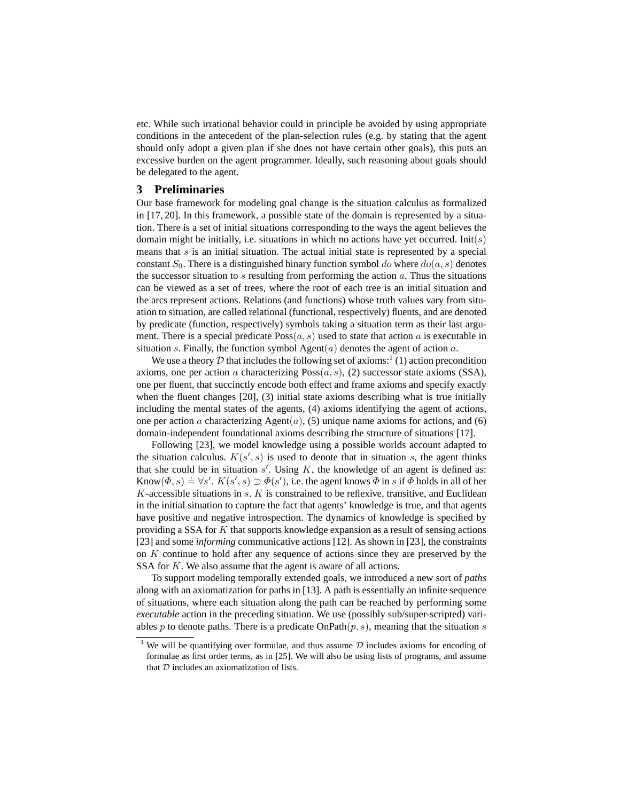etc. While such irrational behavior could in principle be avoided by using appropriate conditions in the antecedent of the plan-selection rules (e.g. by stating that the agent should only adopt a given plan if she does not have certain other goals), this puts an excessive burden on the agent programmer. Ideally, such reasoning about goals should be delegated to the agent.

### **3 Preliminaries**

Our base framework for modeling goal change is the situation calculus as formalized in [17, 20]. In this framework, a possible state of the domain is represented by a situation. There is a set of initial situations corresponding to the ways the agent believes the domain might be initially, i.e. situations in which no actions have yet occurred. Init( $s$ ) means that  $s$  is an initial situation. The actual initial state is represented by a special constant  $S_0$ . There is a distinguished binary function symbol do where  $do(a, s)$  denotes the successor situation to  $s$  resulting from performing the action  $a$ . Thus the situations can be viewed as a set of trees, where the root of each tree is an initial situation and the arcs represent actions. Relations (and functions) whose truth values vary from situation to situation, are called relational (functional, respectively) fluents, and are denoted by predicate (function, respectively) symbols taking a situation term as their last argument. There is a special predicate  $Poss(a, s)$  used to state that action a is executable in situation s. Finally, the function symbol Agent(a) denotes the agent of action a.

We use a theory  $D$  that includes the following set of axioms:<sup>1</sup> (1) action precondition axioms, one per action a characterizing  $Poss(a, s)$ , (2) successor state axioms (SSA), one per fluent, that succinctly encode both effect and frame axioms and specify exactly when the fluent changes [20], (3) initial state axioms describing what is true initially including the mental states of the agents, (4) axioms identifying the agent of actions, one per action a characterizing Agent $(a)$ , (5) unique name axioms for actions, and (6) domain-independent foundational axioms describing the structure of situations [17].

Following [23], we model knowledge using a possible worlds account adapted to the situation calculus.  $K(s', s)$  is used to denote that in situation s, the agent thinks that she could be in situation  $s'$ . Using  $K$ , the knowledge of an agent is defined as: Know $(\Phi, s) \doteq \forall s'$ .  $K(s', s) \supset \Phi(s')$ , i.e. the agent knows  $\Phi$  in s if  $\Phi$  holds in all of her  $K$ -accessible situations in s.  $K$  is constrained to be reflexive, transitive, and Euclidean in the initial situation to capture the fact that agents' knowledge is true, and that agents have positive and negative introspection. The dynamics of knowledge is specified by providing a SSA for  $K$  that supports knowledge expansion as a result of sensing actions [23] and some *informing* communicative actions [12]. As shown in [23], the constraints on K continue to hold after any sequence of actions since they are preserved by the SSA for K. We also assume that the agent is aware of all actions.

To support modeling temporally extended goals, we introduced a new sort of *paths* along with an axiomatization for paths in [13]. A path is essentially an infinite sequence of situations, where each situation along the path can be reached by performing some *executable* action in the preceding situation. We use (possibly sub/super-scripted) variables p to denote paths. There is a predicate  $OnPath(p, s)$ , meaning that the situation s

<sup>&</sup>lt;sup>1</sup> We will be quantifying over formulae, and thus assume  $D$  includes axioms for encoding of formulae as first order terms, as in [25]. We will also be using lists of programs, and assume that  $D$  includes an axiomatization of lists.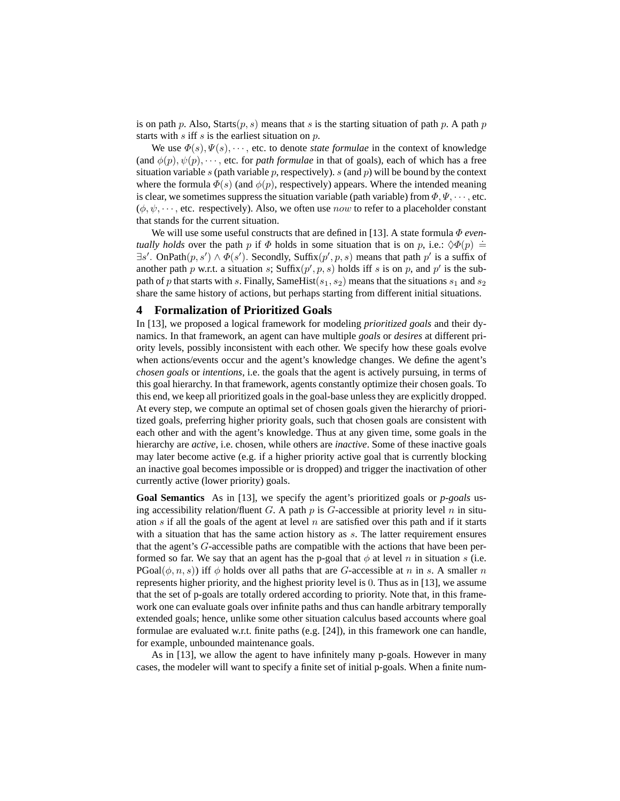is on path p. Also, Starts $(p, s)$  means that s is the starting situation of path p. A path p starts with  $s$  iff  $s$  is the earliest situation on  $p$ .

We use  $\Phi(s), \Psi(s), \cdots$ , etc. to denote *state formulae* in the context of knowledge (and  $\phi(p), \psi(p), \cdots$ , etc. for *path formulae* in that of goals), each of which has a free situation variable s (path variable p, respectively).  $s$  (and  $p$ ) will be bound by the context where the formula  $\Phi(s)$  (and  $\phi(p)$ , respectively) appears. Where the intended meaning is clear, we sometimes suppress the situation variable (path variable) from  $\Phi, \Psi, \cdots$ , etc.  $(\phi, \psi, \dots)$ , etc. respectively). Also, we often use now to refer to a placeholder constant that stands for the current situation.

We will use some useful constructs that are defined in [13]. A state formula Φ *eventually holds* over the path p if  $\Phi$  holds in some situation that is on p, i.e.:  $\Diamond \Phi(p) \doteq$  $\exists s'$ . OnPath $(p, s') \wedge \Phi(s')$ . Secondly, Suffix $(p', p, s)$  means that path  $p'$  is a suffix of another path p w.r.t. a situation s; Suffix $(p', p, s)$  holds iff s is on p, and p' is the subpath of p that starts with s. Finally, SameHist( $s_1, s_2$ ) means that the situations  $s_1$  and  $s_2$ share the same history of actions, but perhaps starting from different initial situations.

#### **4 Formalization of Prioritized Goals**

In [13], we proposed a logical framework for modeling *prioritized goals* and their dynamics. In that framework, an agent can have multiple *goals* or *desires* at different priority levels, possibly inconsistent with each other. We specify how these goals evolve when actions/events occur and the agent's knowledge changes. We define the agent's *chosen goals* or *intentions*, i.e. the goals that the agent is actively pursuing, in terms of this goal hierarchy. In that framework, agents constantly optimize their chosen goals. To this end, we keep all prioritized goals in the goal-base unless they are explicitly dropped. At every step, we compute an optimal set of chosen goals given the hierarchy of prioritized goals, preferring higher priority goals, such that chosen goals are consistent with each other and with the agent's knowledge. Thus at any given time, some goals in the hierarchy are *active*, i.e. chosen, while others are *inactive*. Some of these inactive goals may later become active (e.g. if a higher priority active goal that is currently blocking an inactive goal becomes impossible or is dropped) and trigger the inactivation of other currently active (lower priority) goals.

**Goal Semantics** As in [13], we specify the agent's prioritized goals or *p-goals* using accessibility relation/fluent G. A path p is G-accessible at priority level n in situation s if all the goals of the agent at level  $n$  are satisfied over this path and if it starts with a situation that has the same action history as s. The latter requirement ensures that the agent's G-accessible paths are compatible with the actions that have been performed so far. We say that an agent has the p-goal that  $\phi$  at level n in situation s (i.e. PGoal $(\phi, n, s)$ ) iff  $\phi$  holds over all paths that are G-accessible at n in s. A smaller n represents higher priority, and the highest priority level is 0. Thus as in [13], we assume that the set of p-goals are totally ordered according to priority. Note that, in this framework one can evaluate goals over infinite paths and thus can handle arbitrary temporally extended goals; hence, unlike some other situation calculus based accounts where goal formulae are evaluated w.r.t. finite paths (e.g. [24]), in this framework one can handle, for example, unbounded maintenance goals.

As in [13], we allow the agent to have infinitely many p-goals. However in many cases, the modeler will want to specify a finite set of initial p-goals. When a finite num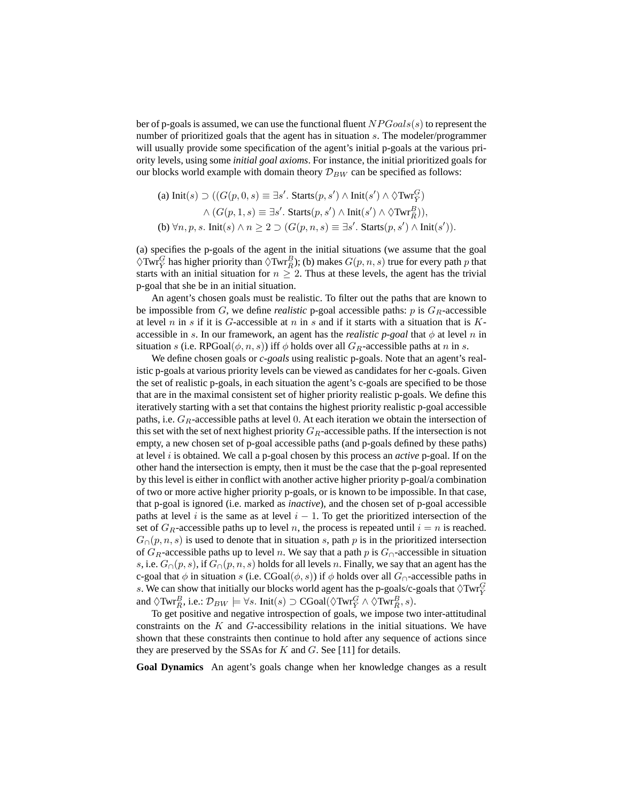ber of p-goals is assumed, we can use the functional fluent  $NPGoals(s)$  to represent the number of prioritized goals that the agent has in situation s. The modeler/programmer will usually provide some specification of the agent's initial p-goals at the various priority levels, using some *initial goal axioms*. For instance, the initial prioritized goals for our blocks world example with domain theory  $\mathcal{D}_{BW}$  can be specified as follows:

(a) 
$$
Init(s) \supset ((G(p, 0, s) \equiv \exists s' \cdot \text{Starts}(p, s') \land \text{Init}(s') \land \Diamond \text{Turf}_{\overline{Y}}^G) \land (G(p, 1, s) \equiv \exists s' \cdot \text{Starts}(p, s') \land \text{Init}(s') \land \Diamond \text{Turf}_{\overline{R}}^B)),
$$
\n(b)  $\forall n, p, s$ .  $Init(s) \land n \geq 2 \supset (G(p, n, s) \equiv \exists s' \cdot \text{Starts}(p, s') \land \text{Init}(s')).$ 

(a) specifies the p-goals of the agent in the initial situations (we assume that the goal  $\sqrt[N]{\text{Tw}_{\overline{Y}}^G}$  has higher priority than  $\sqrt[N]{\text{Tw}_{\overline{R}}^B}$ ); (b) makes  $G(p,n,s)$  true for every path  $p$  that starts with an initial situation for  $n \geq 2$ . Thus at these levels, the agent has the trivial p-goal that she be in an initial situation.

An agent's chosen goals must be realistic. To filter out the paths that are known to be impossible from  $G$ , we define *realistic* p-goal accessible paths: p is  $G_R$ -accessible at level  $n$  in  $s$  if it is  $G$ -accessible at  $n$  in  $s$  and if it starts with a situation that is  $K$ accessible in s. In our framework, an agent has the *realistic p-goal* that  $\phi$  at level n in situation s (i.e. RPGoal $(\phi, n, s)$ ) iff  $\phi$  holds over all  $G_R$ -accessible paths at n in s.

We define chosen goals or *c-goals* using realistic p-goals. Note that an agent's realistic p-goals at various priority levels can be viewed as candidates for her c-goals. Given the set of realistic p-goals, in each situation the agent's c-goals are specified to be those that are in the maximal consistent set of higher priority realistic p-goals. We define this iteratively starting with a set that contains the highest priority realistic p-goal accessible paths, i.e.  $G_R$ -accessible paths at level 0. At each iteration we obtain the intersection of this set with the set of next highest priority  $G_R$ -accessible paths. If the intersection is not empty, a new chosen set of p-goal accessible paths (and p-goals defined by these paths) at level i is obtained. We call a p-goal chosen by this process an *active* p-goal. If on the other hand the intersection is empty, then it must be the case that the p-goal represented by this level is either in conflict with another active higher priority p-goal/a combination of two or more active higher priority p-goals, or is known to be impossible. In that case, that p-goal is ignored (i.e. marked as *inactive*), and the chosen set of p-goal accessible paths at level i is the same as at level  $i - 1$ . To get the prioritized intersection of the set of  $G_R$ -accessible paths up to level n, the process is repeated until  $i = n$  is reached.  $G<sub>∩</sub>(p, n, s)$  is used to denote that in situation s, path p is in the prioritized intersection of  $G_R$ -accessible paths up to level n. We say that a path p is  $G_0$ -accessible in situation s, i.e.  $G_0(p, s)$ , if  $G_0(p, n, s)$  holds for all levels n. Finally, we say that an agent has the c-goal that  $\phi$  in situation s (i.e. CGoal( $\phi$ , s)) if  $\phi$  holds over all  $G_0$ -accessible paths in s. We can show that initially our blocks world agent has the p-goals/c-goals that  $\sqrt{\mathrm{Tw}}_{\overline{Y}}^G$ and  $\Diamond \text{Twr}_{\overline{R}}^B$ , i.e.:  $\mathcal{D}_{BW} \models \forall s$ . Init $(s) \supset \text{CGoal}(\Diamond \text{Twr}_{\overline{Y}}^G \land \Diamond \text{Twr}_{\overline{R}}^B, s)$ .

To get positive and negative introspection of goals, we impose two inter-attitudinal constraints on the  $K$  and  $G$ -accessibility relations in the initial situations. We have shown that these constraints then continue to hold after any sequence of actions since they are preserved by the SSAs for  $K$  and  $G$ . See [11] for details.

**Goal Dynamics** An agent's goals change when her knowledge changes as a result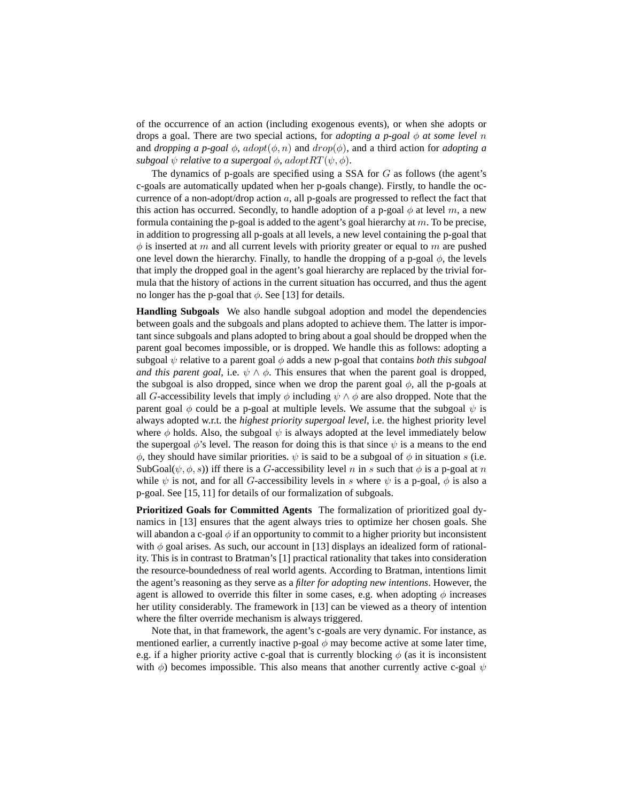of the occurrence of an action (including exogenous events), or when she adopts or drops a goal. There are two special actions, for *adopting a p-goal*  $\phi$  *at some level* n and *dropping a p-goal*  $\phi$ ,  $adopt(\phi, n)$  and  $drop(\phi)$ , and a third action for *adopting a subgoal*  $\psi$  *relative to a supergoal*  $\phi$ , *adoptRT*( $\psi$ ,  $\phi$ ).

The dynamics of p-goals are specified using a SSA for  $G$  as follows (the agent's c-goals are automatically updated when her p-goals change). Firstly, to handle the occurrence of a non-adopt/drop action  $a$ , all p-goals are progressed to reflect the fact that this action has occurred. Secondly, to handle adoption of a p-goal  $\phi$  at level m, a new formula containing the p-goal is added to the agent's goal hierarchy at  $m$ . To be precise, in addition to progressing all p-goals at all levels, a new level containing the p-goal that  $\phi$  is inserted at m and all current levels with priority greater or equal to m are pushed one level down the hierarchy. Finally, to handle the dropping of a p-goal  $\phi$ , the levels that imply the dropped goal in the agent's goal hierarchy are replaced by the trivial formula that the history of actions in the current situation has occurred, and thus the agent no longer has the p-goal that  $\phi$ . See [13] for details.

**Handling Subgoals** We also handle subgoal adoption and model the dependencies between goals and the subgoals and plans adopted to achieve them. The latter is important since subgoals and plans adopted to bring about a goal should be dropped when the parent goal becomes impossible, or is dropped. We handle this as follows: adopting a subgoal  $\psi$  relative to a parent goal  $\phi$  adds a new p-goal that contains *both this subgoal and this parent goal*, i.e.  $\psi \wedge \phi$ . This ensures that when the parent goal is dropped, the subgoal is also dropped, since when we drop the parent goal  $\phi$ , all the p-goals at all G-accessibility levels that imply  $\phi$  including  $\psi \wedge \phi$  are also dropped. Note that the parent goal  $\phi$  could be a p-goal at multiple levels. We assume that the subgoal  $\psi$  is always adopted w.r.t. the *highest priority supergoal level*, i.e. the highest priority level where  $\phi$  holds. Also, the subgoal  $\psi$  is always adopted at the level immediately below the supergoal  $\phi$ 's level. The reason for doing this is that since  $\psi$  is a means to the end  $\phi$ , they should have similar priorities.  $\psi$  is said to be a subgoal of  $\phi$  in situation s (i.e. SubGoal( $\psi$ ,  $\phi$ , s)) iff there is a G-accessibility level n in s such that  $\phi$  is a p-goal at n while  $\psi$  is not, and for all G-accessibility levels in s where  $\psi$  is a p-goal,  $\phi$  is also a p-goal. See [15, 11] for details of our formalization of subgoals.

**Prioritized Goals for Committed Agents** The formalization of prioritized goal dynamics in [13] ensures that the agent always tries to optimize her chosen goals. She will abandon a c-goal  $\phi$  if an opportunity to commit to a higher priority but inconsistent with  $\phi$  goal arises. As such, our account in [13] displays an idealized form of rationality. This is in contrast to Bratman's [1] practical rationality that takes into consideration the resource-boundedness of real world agents. According to Bratman, intentions limit the agent's reasoning as they serve as a *filter for adopting new intentions*. However, the agent is allowed to override this filter in some cases, e.g. when adopting  $\phi$  increases her utility considerably. The framework in [13] can be viewed as a theory of intention where the filter override mechanism is always triggered.

Note that, in that framework, the agent's c-goals are very dynamic. For instance, as mentioned earlier, a currently inactive p-goal  $\phi$  may become active at some later time, e.g. if a higher priority active c-goal that is currently blocking  $\phi$  (as it is inconsistent with  $\phi$ ) becomes impossible. This also means that another currently active c-goal  $\psi$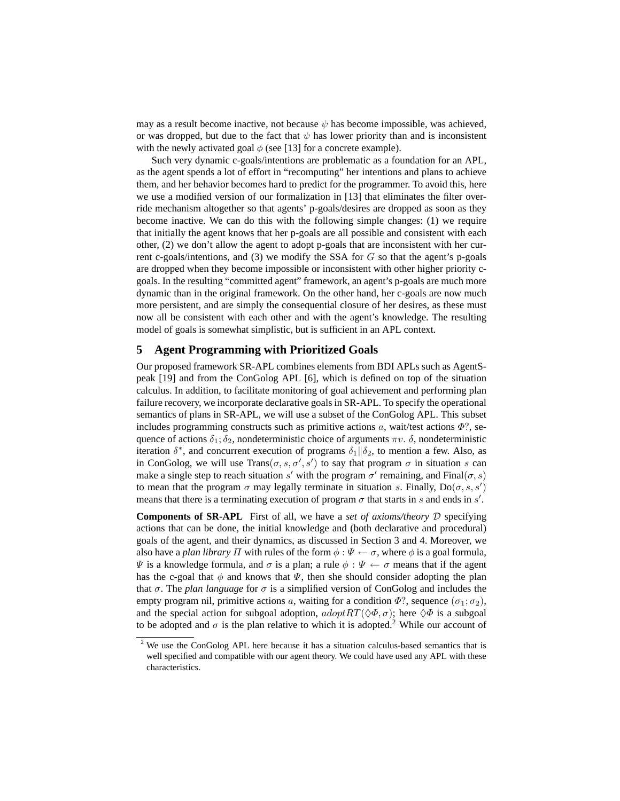may as a result become inactive, not because  $\psi$  has become impossible, was achieved, or was dropped, but due to the fact that  $\psi$  has lower priority than and is inconsistent with the newly activated goal  $\phi$  (see [13] for a concrete example).

Such very dynamic c-goals/intentions are problematic as a foundation for an APL, as the agent spends a lot of effort in "recomputing" her intentions and plans to achieve them, and her behavior becomes hard to predict for the programmer. To avoid this, here we use a modified version of our formalization in [13] that eliminates the filter override mechanism altogether so that agents' p-goals/desires are dropped as soon as they become inactive. We can do this with the following simple changes: (1) we require that initially the agent knows that her p-goals are all possible and consistent with each other, (2) we don't allow the agent to adopt p-goals that are inconsistent with her current c-goals/intentions, and  $(3)$  we modify the SSA for G so that the agent's p-goals are dropped when they become impossible or inconsistent with other higher priority cgoals. In the resulting "committed agent" framework, an agent's p-goals are much more dynamic than in the original framework. On the other hand, her c-goals are now much more persistent, and are simply the consequential closure of her desires, as these must now all be consistent with each other and with the agent's knowledge. The resulting model of goals is somewhat simplistic, but is sufficient in an APL context.

## **5 Agent Programming with Prioritized Goals**

Our proposed framework SR-APL combines elements from BDI APLs such as AgentSpeak [19] and from the ConGolog APL [6], which is defined on top of the situation calculus. In addition, to facilitate monitoring of goal achievement and performing plan failure recovery, we incorporate declarative goals in SR-APL. To specify the operational semantics of plans in SR-APL, we will use a subset of the ConGolog APL. This subset includes programming constructs such as primitive actions  $a$ , wait/test actions  $\Phi$ ?, sequence of actions  $\delta_1$ ;  $\delta_2$ , nondeterministic choice of arguments  $\pi v$ .  $\delta$ , nondeterministic iteration  $\delta^*$ , and concurrent execution of programs  $\delta_1 || \delta_2$ , to mention a few. Also, as in ConGolog, we will use  $\text{Trans}(\sigma, s, \sigma', s')$  to say that program  $\sigma$  in situation s can make a single step to reach situation s' with the program  $\sigma'$  remaining, and Final $(\sigma, s)$ to mean that the program  $\sigma$  may legally terminate in situation s. Finally,  $Do(\sigma, s, s')$ means that there is a terminating execution of program  $\sigma$  that starts in s and ends in s'.

**Components of SR-APL** First of all, we have a *set of axioms/theory* D specifying actions that can be done, the initial knowledge and (both declarative and procedural) goals of the agent, and their dynamics, as discussed in Section 3 and 4. Moreover, we also have a *plan library*  $\Pi$  with rules of the form  $\phi : \Psi \leftarrow \sigma$ , where  $\phi$  is a goal formula,  $\Psi$  is a knowledge formula, and  $\sigma$  is a plan; a rule  $\phi : \Psi \leftarrow \sigma$  means that if the agent has the c-goal that  $\phi$  and knows that  $\Psi$ , then she should consider adopting the plan that  $\sigma$ . The *plan language* for  $\sigma$  is a simplified version of ConGolog and includes the empty program nil, primitive actions a, waiting for a condition  $\Phi$ ?, sequence  $(\sigma_1; \sigma_2)$ , and the special action for subgoal adoption,  $adoptRT(\Diamond \Phi, \sigma)$ ; here  $\Diamond \Phi$  is a subgoal to be adopted and  $\sigma$  is the plan relative to which it is adopted.<sup>2</sup> While our account of

<sup>&</sup>lt;sup>2</sup> We use the ConGolog APL here because it has a situation calculus-based semantics that is well specified and compatible with our agent theory. We could have used any APL with these characteristics.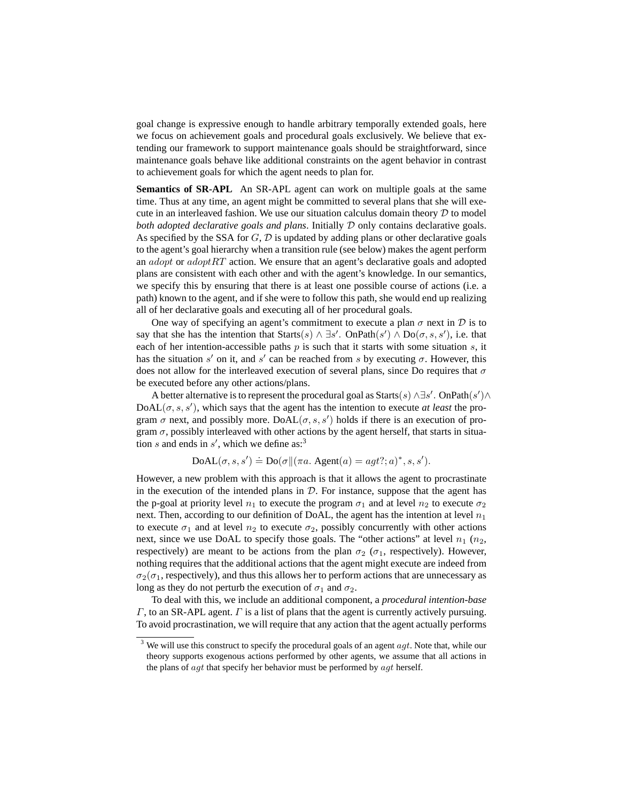goal change is expressive enough to handle arbitrary temporally extended goals, here we focus on achievement goals and procedural goals exclusively. We believe that extending our framework to support maintenance goals should be straightforward, since maintenance goals behave like additional constraints on the agent behavior in contrast to achievement goals for which the agent needs to plan for.

**Semantics of SR-APL** An SR-APL agent can work on multiple goals at the same time. Thus at any time, an agent might be committed to several plans that she will execute in an interleaved fashion. We use our situation calculus domain theory  $D$  to model *both adopted declarative goals and plans*. Initially D only contains declarative goals. As specified by the SSA for  $G, \mathcal{D}$  is updated by adding plans or other declarative goals to the agent's goal hierarchy when a transition rule (see below) makes the agent perform an  $adopt$  or  $adoptRT$  action. We ensure that an agent's declarative goals and adopted plans are consistent with each other and with the agent's knowledge. In our semantics, we specify this by ensuring that there is at least one possible course of actions (i.e. a path) known to the agent, and if she were to follow this path, she would end up realizing all of her declarative goals and executing all of her procedural goals.

One way of specifying an agent's commitment to execute a plan  $\sigma$  next in  $\mathcal D$  is to say that she has the intention that Starts $(s) \wedge \exists s'$ . OnPath $(s') \wedge Do(\sigma, s, s')$ , i.e. that each of her intention-accessible paths  $p$  is such that it starts with some situation  $s$ , it has the situation  $s'$  on it, and  $s'$  can be reached from s by executing  $\sigma$ . However, this does not allow for the interleaved execution of several plans, since Do requires that  $\sigma$ be executed before any other actions/plans.

A better alternative is to represent the procedural goal as Starts $(s) \wedge \exists s'$ . OnPath $(s') \wedge$  $DoAL(\sigma, s, s')$ , which says that the agent has the intention to execute *at least* the program  $\sigma$  next, and possibly more.  $DoAL(\sigma, s, s')$  holds if there is an execution of program  $\sigma$ , possibly interleaved with other actions by the agent herself, that starts in situation s and ends in  $s'$ , which we define as:<sup>3</sup>

 $\text{DoAL}(\sigma, s, s') \doteq \text{Do}(\sigma \| (\pi a. \text{ Agent}(a) = agt?; a)^*, s, s').$ 

However, a new problem with this approach is that it allows the agent to procrastinate in the execution of the intended plans in  $D$ . For instance, suppose that the agent has the p-goal at priority level  $n_1$  to execute the program  $\sigma_1$  and at level  $n_2$  to execute  $\sigma_2$ next. Then, according to our definition of DoAL, the agent has the intention at level  $n_1$ to execute  $\sigma_1$  and at level  $n_2$  to execute  $\sigma_2$ , possibly concurrently with other actions next, since we use DoAL to specify those goals. The "other actions" at level  $n_1$  ( $n_2$ , respectively) are meant to be actions from the plan  $\sigma_2$  ( $\sigma_1$ , respectively). However, nothing requires that the additional actions that the agent might execute are indeed from  $\sigma_2(\sigma_1)$ , respectively), and thus this allows her to perform actions that are unnecessary as long as they do not perturb the execution of  $\sigma_1$  and  $\sigma_2$ .

To deal with this, we include an additional component, a *procedural intention-base*  $\Gamma$ , to an SR-APL agent.  $\Gamma$  is a list of plans that the agent is currently actively pursuing. To avoid procrastination, we will require that any action that the agent actually performs

<sup>&</sup>lt;sup>3</sup> We will use this construct to specify the procedural goals of an agent  $agt$ . Note that, while our theory supports exogenous actions performed by other agents, we assume that all actions in the plans of  $agt$  that specify her behavior must be performed by  $agt$  herself.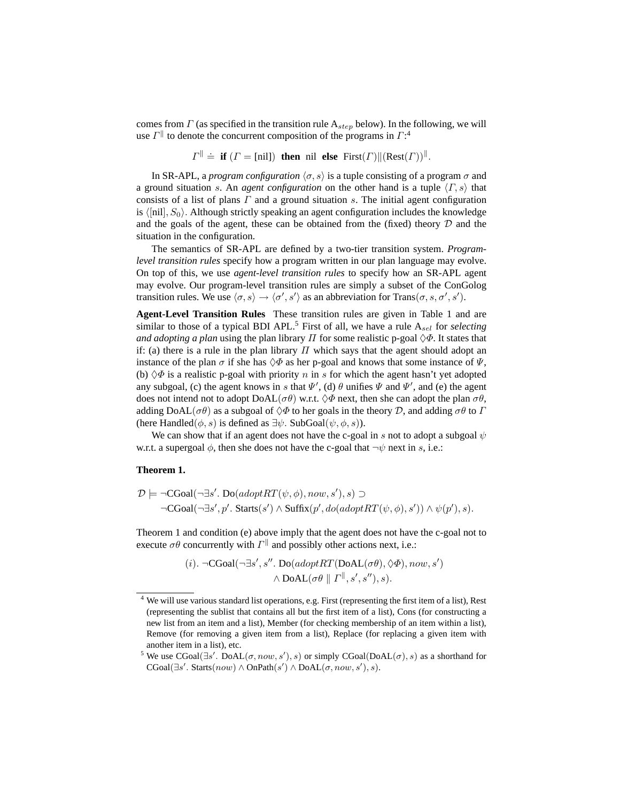comes from  $\Gamma$  (as specified in the transition rule  $A_{step}$  below). In the following, we will use  $\Gamma^{\parallel}$  to denote the concurrent composition of the programs in  $\Gamma^{\perp}$ 

 $\Gamma^{\parallel}$  = **if** ( $\Gamma$  = [nil]) **then** nil **else** First( $\Gamma$ )||(Rest( $\Gamma$ ))<sup>||</sup>.

In SR-APL, a *program configuration*  $\langle \sigma, s \rangle$  is a tuple consisting of a program  $\sigma$  and a ground situation s. An *agent configuration* on the other hand is a tuple  $\langle \Gamma, s \rangle$  that consists of a list of plans  $\Gamma$  and a ground situation s. The initial agent configuration is  $\langle \nabla f|nil\rangle, S_0\rangle$ . Although strictly speaking an agent configuration includes the knowledge and the goals of the agent, these can be obtained from the (fixed) theory  $D$  and the situation in the configuration.

The semantics of SR-APL are defined by a two-tier transition system. *Programlevel transition rules* specify how a program written in our plan language may evolve. On top of this, we use *agent-level transition rules* to specify how an SR-APL agent may evolve. Our program-level transition rules are simply a subset of the ConGolog transition rules. We use  $\langle \sigma, s \rangle \rightarrow \langle \sigma', s' \rangle$  as an abbreviation for Trans $(\sigma, s, \sigma', s')$ .

**Agent-Level Transition Rules** These transition rules are given in Table 1 and are similar to those of a typical BDI APL.<sup>5</sup> First of all, we have a rule  $A_{sel}$  for *selecting and adopting a plan* using the plan library  $\Pi$  for some realistic p-goal  $\Diamond \Phi$ . It states that if: (a) there is a rule in the plan library  $\Pi$  which says that the agent should adopt an instance of the plan  $\sigma$  if she has  $\Diamond \Phi$  as her p-goal and knows that some instance of  $\Psi$ , (b)  $\Diamond \Phi$  is a realistic p-goal with priority n in s for which the agent hasn't yet adopted any subgoal, (c) the agent knows in s that  $\Psi'$ , (d)  $\theta$  unifies  $\Psi$  and  $\Psi'$ , and (e) the agent does not intend not to adopt  $DoAL(\sigma\theta)$  w.r.t.  $\Diamond\Phi$  next, then she can adopt the plan  $\sigma\theta$ , adding  $DoAL(\sigma\theta)$  as a subgoal of  $\Diamond\Phi$  to her goals in the theory D, and adding  $\sigma\theta$  to  $\Gamma$ (here Handled( $\phi$ , s) is defined as  $\exists \psi$ . SubGoal( $\psi$ ,  $\phi$ , s)).

We can show that if an agent does not have the c-goal in s not to adopt a subgoal  $\psi$ w.r.t. a supergoal  $\phi$ , then she does not have the c-goal that  $\neg \psi$  next in s, i.e.:

#### **Theorem 1.**

$$
\mathcal{D} \models \neg CGoal(\neg \exists s'. Do(adoptRT(\psi, \phi), now, s'), s) \supset
$$
  

$$
\neg CGoal(\neg \exists s', p'. \text{Starts}(s') \land \text{Suffix}(p', do(adoptRT(\psi, \phi), s')) \land \psi(p'), s).
$$

Theorem 1 and condition (e) above imply that the agent does not have the c-goal not to execute  $\sigma\theta$  concurrently with  $\Gamma^{\parallel}$  and possibly other actions next, i.e.:

(i). 
$$
\neg \text{CGoal}(\neg \exists s', s'' \text{. Do}(\text{adopt}RT(\text{DoAL}(\sigma \theta), \Diamond \Phi), \text{now}, s')
$$
  
  $\land \text{DoAL}(\sigma \theta \parallel \Gamma^{\parallel}, s', s''), s).$ 

<sup>4</sup> We will use various standard list operations, e.g. First (representing the first item of a list), Rest (representing the sublist that contains all but the first item of a list), Cons (for constructing a new list from an item and a list), Member (for checking membership of an item within a list), Remove (for removing a given item from a list), Replace (for replacing a given item with another item in a list), etc.

<sup>&</sup>lt;sup>5</sup> We use CGoal( $\exists s'$ . DoAL( $\sigma, now, s'$ ), s) or simply CGoal(DoAL( $\sigma$ ), s) as a shorthand for  $CGoal(\exists s'. \text{ starts}(now) \land \text{OnPath}(s') \land \text{DoAL}(\sigma, now, s'), s).$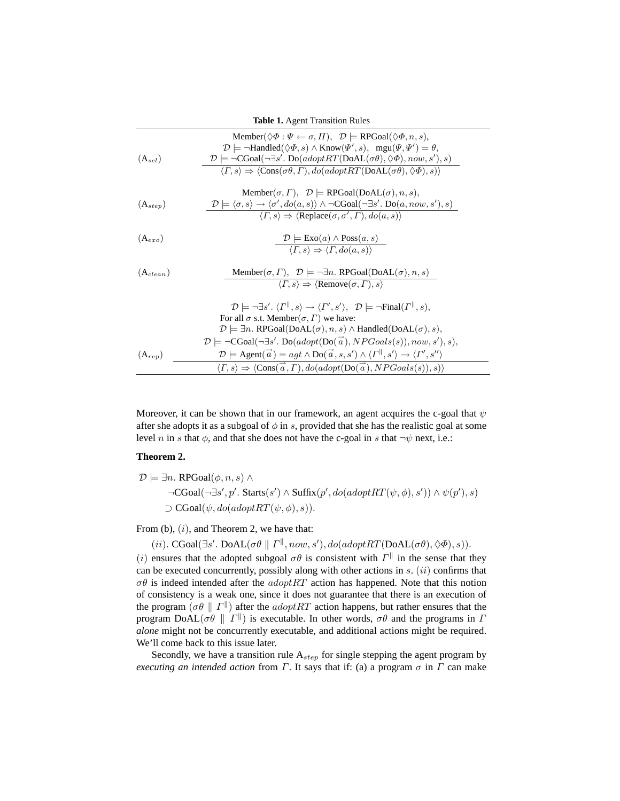**Table 1.** Agent Transition Rules

| $(A_{sel})$   | Member( $\Diamond \Phi : \Psi \leftarrow \sigma, \Pi$ ), $\mathcal{D} \models \text{RPGoal}(\Diamond \Phi, n, s)$ ,<br>$\mathcal{D} \models \neg \text{Handled}(\Diamond \Phi, s) \land \text{Know}(\Psi', s), \text{ mgu}(\Psi, \Psi') = \theta,$<br>$\mathcal{D} \models \neg CGoal(\neg \exists s'. Do(adoptRT(DoAL(\sigma\theta), \Diamond \Phi), now, s'), s)$<br>$\langle \Gamma, s \rangle \Rightarrow \langle \text{Cons}(\sigma \theta, \Gamma), do (adopt RT(\text{DoAL}(\sigma \theta), \Diamond \Phi), s) \rangle$ |
|---------------|--------------------------------------------------------------------------------------------------------------------------------------------------------------------------------------------------------------------------------------------------------------------------------------------------------------------------------------------------------------------------------------------------------------------------------------------------------------------------------------------------------------------------------|
| $(A_{step})$  | Member( $\sigma$ , $\Gamma$ ), $\mathcal{D} \models$ RPGoal(DoAL( $\sigma$ ), $n, s$ ),<br>$\mathcal{D} \models \langle \sigma, s \rangle \rightarrow \langle \sigma', do(a, s) \rangle \land \neg CGoal(\neg \exists s'. Do(a, now, s'), s)$<br>$\overline{\langle \Gamma, s \rangle \Rightarrow \langle \text{Replace}(\sigma, \sigma', \Gamma), d o(a, s) \rangle}$                                                                                                                                                         |
| $(A_{exo})$   | $\mathcal{D} \models \text{Exo}(a) \land \text{Poss}(a, s)$<br>$\langle \Gamma, s \rangle \Rightarrow \langle \Gamma, do(a, s) \rangle$                                                                                                                                                                                                                                                                                                                                                                                        |
| $(A_{clean})$ | Member( $\sigma$ , $\Gamma$ ), $\mathcal{D} \models \neg \exists n$ . RPGoal(DoAL( $\sigma$ ), $n$ , $s$ )<br>$\langle \Gamma, s \rangle \Rightarrow \langle$ Remove $(\sigma, \Gamma), s \rangle$                                                                                                                                                                                                                                                                                                                             |
|               | $\mathcal{D} \models \neg \exists s'. \langle \Gamma^\parallel, s \rangle \rightarrow \langle \Gamma', s' \rangle, \mathcal{D} \models \neg \text{Final}(\Gamma^\parallel, s),$                                                                                                                                                                                                                                                                                                                                                |
|               | For all $\sigma$ s.t. Member $(\sigma, \Gamma)$ we have:<br>$\mathcal{D} \models \exists n. \text{ RPGoal}(\text{DoAL}(\sigma), n, s) \land \text{Handled}(\text{DoAL}(\sigma), s),$                                                                                                                                                                                                                                                                                                                                           |
|               | $\mathcal{D} \models \neg \text{CGoal}(\neg \exists s'.\ \text{Do}(\text{adopt}(\text{Do}(\vec{a}), \text{NPGoals}(s)), \text{now}, s'), s),$                                                                                                                                                                                                                                                                                                                                                                                  |
| $(A_{rep})$   | $\mathcal{D} \models \mathrm{Agent}(\vec{a}) = agt \wedge \mathrm{Do}(\vec{a}, s, s') \wedge \langle \Gamma^{\parallel}, s' \rangle \rightarrow \langle \Gamma', s'' \rangle$                                                                                                                                                                                                                                                                                                                                                  |
|               | $\langle \Gamma, s \rangle \Rightarrow \langle \text{Cons}(\vec{a}, \Gamma), do (adopt(\text{Do}(\vec{a}), NPGoals(s)), s) \rangle$                                                                                                                                                                                                                                                                                                                                                                                            |

Moreover, it can be shown that in our framework, an agent acquires the c-goal that  $\psi$ after she adopts it as a subgoal of  $\phi$  in s, provided that she has the realistic goal at some level n in s that  $\phi$ , and that she does not have the c-goal in s that  $\neg \psi$  next, i.e.:

#### **Theorem 2.**

$$
\mathcal{D} \models \exists n. \text{ RPGoal}(\phi, n, s) \land \neg \text{CGoal}(\neg \exists s', p'. \text{ starts}(s') \land \text{Suffix}(p', do(adoptRT(\psi, \phi), s')) \land \psi(p'), s) \supset \text{CGoal}(\psi, do(adoptRT(\psi, \phi), s)).
$$

From (b),  $(i)$ , and Theorem 2, we have that:

(ii). CGoal( $\exists s'$ . DoAL( $\sigma\theta \parallel \Gamma^{\parallel}$ , now, s'), do(adoptRT(DoAL( $\sigma\theta$ ),  $\Diamond\Phi$ ), s)).

(i) ensures that the adopted subgoal  $\sigma\theta$  is consistent with  $\Gamma^{\parallel}$  in the sense that they can be executed concurrently, possibly along with other actions in  $s$ . (ii) confirms that  $\sigma\theta$  is indeed intended after the *adoptRT* action has happened. Note that this notion of consistency is a weak one, since it does not guarantee that there is an execution of the program  $(\sigma \theta \parallel \Gamma^{\parallel})$  after the  $adoptRT$  action happens, but rather ensures that the program  $DoAL(\sigma \theta \parallel \Gamma^{\parallel})$  is executable. In other words,  $\sigma \theta$  and the programs in  $\Gamma$ *alone* might not be concurrently executable, and additional actions might be required. We'll come back to this issue later.

Secondly, we have a transition rule  $A_{step}$  for single stepping the agent program by *executing an intended action* from  $\Gamma$ . It says that if: (a) a program  $\sigma$  in  $\Gamma$  can make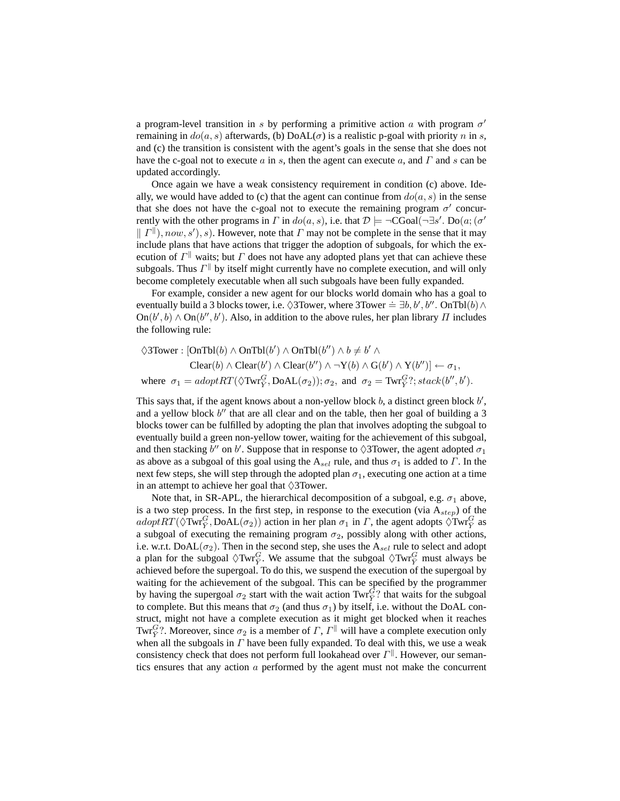a program-level transition in s by performing a primitive action  $a$  with program  $\sigma'$ remaining in  $do(a, s)$  afterwards, (b) DoAL( $\sigma$ ) is a realistic p-goal with priority n in s, and (c) the transition is consistent with the agent's goals in the sense that she does not have the c-goal not to execute a in s, then the agent can execute a, and  $\Gamma$  and s can be updated accordingly.

Once again we have a weak consistency requirement in condition (c) above. Ideally, we would have added to (c) that the agent can continue from  $do(a, s)$  in the sense that she does not have the c-goal not to execute the remaining program  $\sigma'$  concurrently with the other programs in  $\Gamma$  in  $do(a, s)$ , i.e. that  $\mathcal{D} \models \neg CGoal(\neg \exists s'. Do(a; (\sigma'$  $|| \Gamma ||$ ,  $now, s'$ , s). However, note that  $\Gamma$  may not be complete in the sense that it may include plans that have actions that trigger the adoption of subgoals, for which the execution of  $\Gamma^{\parallel}$  waits; but  $\Gamma$  does not have any adopted plans yet that can achieve these subgoals. Thus  $\Gamma^{\parallel}$  by itself might currently have no complete execution, and will only become completely executable when all such subgoals have been fully expanded.

For example, consider a new agent for our blocks world domain who has a goal to eventually build a 3 blocks tower, i.e.  $\Diamond 3$ Tower, where 3Tower  $\Rightarrow \exists b, b', b''$ . OnTbl(b)∧  $\text{On}(b', b) \wedge \text{On}(b'', b')$ . Also, in addition to the above rules, her plan library  $\Pi$  includes the following rule:

 $\Diamond$ 3Tower :  $[OnTbl(b) \land OnTbl(b') \land OnTbl(b'') \land b \neq b' \land b$ Clear(b)  $\land$  Clear(b'')  $\land$   $\neg$ Y(b)  $\land$  G(b')  $\land$  Y(b'')]  $\leftarrow \sigma_1$ , where  $\sigma_1 = adaptRT(\lozenge \text{Twr}_{\overline{Y}}^G, \text{DoAL}(\sigma_2)); \sigma_2$ , and  $\sigma_2 = \text{Twr}_{\overline{Y}}^G$ ?;  $stack(b'', b')$ .

This says that, if the agent knows about a non-yellow block  $b$ , a distinct green block  $b'$ , and a yellow block  $b''$  that are all clear and on the table, then her goal of building a 3 blocks tower can be fulfilled by adopting the plan that involves adopting the subgoal to eventually build a green non-yellow tower, waiting for the achievement of this subgoal, and then stacking  $b''$  on  $b'$ . Suppose that in response to  $\Diamond$ 3Tower, the agent adopted  $\sigma_1$ as above as a subgoal of this goal using the  $A_{sel}$  rule, and thus  $\sigma_1$  is added to  $\Gamma$ . In the next few steps, she will step through the adopted plan  $\sigma_1$ , executing one action at a time in an attempt to achieve her goal that  $\Diamond$ 3Tower.

Note that, in SR-APL, the hierarchical decomposition of a subgoal, e.g.  $\sigma_1$  above, is a two step process. In the first step, in response to the execution (via  $A_{step}$ ) of the  $adoptRT(\lozenge Twr_{\overline{Y}}^G, DoAL(\sigma_2))$  action in her plan  $\sigma_1$  in  $\Gamma$ , the agent adopts  $\lozenge Twr_{\overline{Y}}^G$  as a subgoal of executing the remaining program  $\sigma_2$ , possibly along with other actions, i.e. w.r.t.  $DoAL(\sigma_2)$ . Then in the second step, she uses the  $A_{sel}$  rule to select and adopt a plan for the subgoal  $\Diamond \text{Twr}_{\overline{Y}}^G$ . We assume that the subgoal  $\Diamond \text{Twr}_{\overline{Y}}^G$  must always be achieved before the supergoal. To do this, we suspend the execution of the supergoal by waiting for the achievement of the subgoal. This can be specified by the programmer by having the supergoal  $\sigma_2$  start with the wait action  $Twr_{\overline{Y}}^{\overline{G}}$ ? that waits for the subgoal to complete. But this means that  $\sigma_2$  (and thus  $\sigma_1$ ) by itself, i.e. without the DoAL construct, might not have a complete execution as it might get blocked when it reaches Twr $\frac{G}{Y}$ ?. Moreover, since  $\sigma_2$  is a member of  $\Gamma$ ,  $\Gamma^{\parallel}$  will have a complete execution only when all the subgoals in  $\Gamma$  have been fully expanded. To deal with this, we use a weak consistency check that does not perform full lookahead over  $\Gamma^{\parallel}$ . However, our semantics ensures that any action  $\alpha$  performed by the agent must not make the concurrent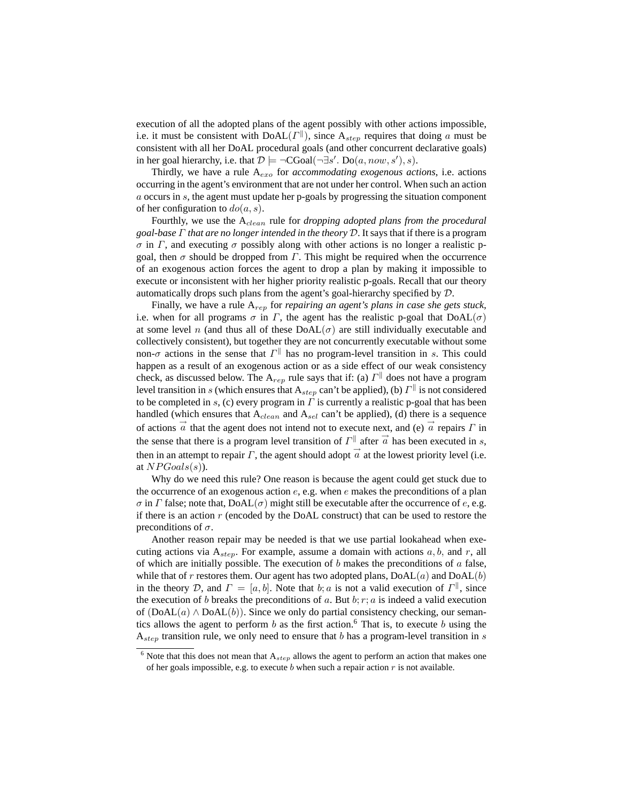execution of all the adopted plans of the agent possibly with other actions impossible, i.e. it must be consistent with  $\text{DoAL}(T^{\parallel})$ , since  $A_{step}$  requires that doing a must be consistent with all her DoAL procedural goals (and other concurrent declarative goals) in her goal hierarchy, i.e. that  $\mathcal{D} \models \neg CGoal(\neg \exists s'. Do(a, now, s'), s)$ .

Thirdly, we have a rule Aexo for *accommodating exogenous actions*, i.e. actions occurring in the agent's environment that are not under her control. When such an action a occurs in s, the agent must update her p-goals by progressing the situation component of her configuration to  $do(a, s)$ .

Fourthly, we use the Aclean rule for *dropping adopted plans from the procedural goal-base* Γ *that are no longer intended in the theory* D. It says that if there is a program  $\sigma$  in Γ, and executing  $\sigma$  possibly along with other actions is no longer a realistic pgoal, then  $\sigma$  should be dropped from  $\Gamma$ . This might be required when the occurrence of an exogenous action forces the agent to drop a plan by making it impossible to execute or inconsistent with her higher priority realistic p-goals. Recall that our theory automatically drops such plans from the agent's goal-hierarchy specified by D.

Finally, we have a rule A<sub>rep</sub> for *repairing an agent's plans in case she gets stuck*, i.e. when for all programs  $\sigma$  in  $\Gamma$ , the agent has the realistic p-goal that  $DoAL(\sigma)$ at some level n (and thus all of these  $DoAL(\sigma)$  are still individually executable and collectively consistent), but together they are not concurrently executable without some non- $\sigma$  actions in the sense that  $\Gamma^{\parallel}$  has no program-level transition in s. This could happen as a result of an exogenous action or as a side effect of our weak consistency check, as discussed below. The A<sub>rep</sub> rule says that if: (a)  $\varGamma^{\parallel}$  does not have a program level transition in s (which ensures that  $A_{step}$  can't be applied), (b)  $\varGamma^{\parallel}$  is not considered to be completed in s, (c) every program in  $\Gamma$  is currently a realistic p-goal that has been handled (which ensures that  $A_{clean}$  and  $A_{sel}$  can't be applied), (d) there is a sequence of actions  $\vec{a}$  that the agent does not intend not to execute next, and (e)  $\vec{a}$  repairs  $\Gamma$  in the sense that there is a program level transition of  $\Gamma^{\parallel}$  after  $\vec{a}$  has been executed in s, then in an attempt to repair  $\Gamma$ , the agent should adopt  $\vec{a}$  at the lowest priority level (i.e. at  $NP Goals(s)$ ).

Why do we need this rule? One reason is because the agent could get stuck due to the occurrence of an exogenous action  $e$ , e.g. when e makes the preconditions of a plan σ in Γ false; note that,  $DoAL(σ)$  might still be executable after the occurrence of e, e.g. if there is an action  $r$  (encoded by the DoAL construct) that can be used to restore the preconditions of  $\sigma$ .

Another reason repair may be needed is that we use partial lookahead when executing actions via  $A_{step}$ . For example, assume a domain with actions  $a, b$ , and  $r$ , all of which are initially possible. The execution of  $b$  makes the preconditions of  $a$  false, while that of r restores them. Our agent has two adopted plans,  $DoAL(a)$  and  $DoAL(b)$ in the theory D, and  $\Gamma = [a, b]$ . Note that b; a is not a valid execution of  $\Gamma^{\parallel}$ , since the execution of b breaks the preconditions of a. But b;  $r; a$  is indeed a valid execution of  $(DoAL(a) \wedge DoAL(b))$ . Since we only do partial consistency checking, our semantics allows the agent to perform  $b$  as the first action.<sup>6</sup> That is, to execute  $b$  using the  $A_{step}$  transition rule, we only need to ensure that b has a program-level transition in s

 $6$  Note that this does not mean that  $A_{step}$  allows the agent to perform an action that makes one of her goals impossible, e.g. to execute  $b$  when such a repair action  $r$  is not available.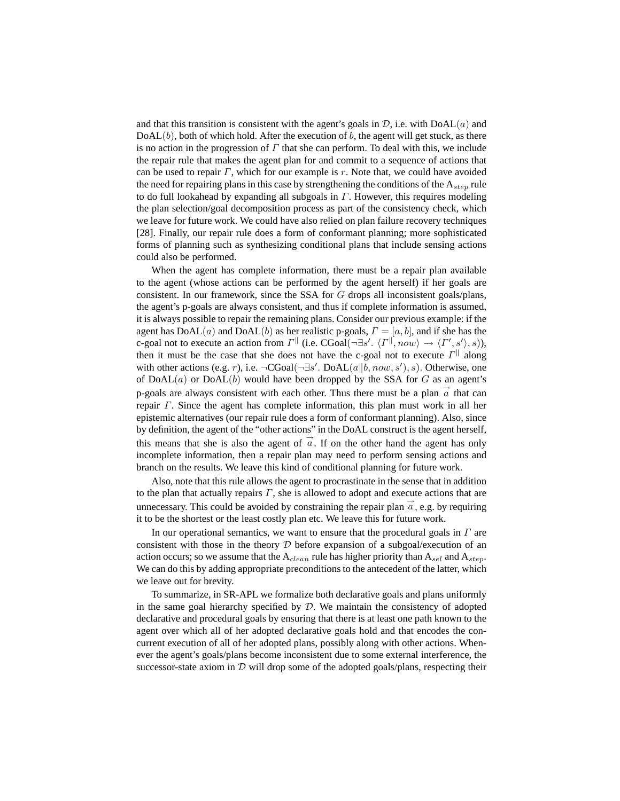and that this transition is consistent with the agent's goals in  $\mathcal{D}$ , i.e. with  $DoAL(a)$  and  $DoAL(b)$ , both of which hold. After the execution of b, the agent will get stuck, as there is no action in the progression of  $\Gamma$  that she can perform. To deal with this, we include the repair rule that makes the agent plan for and commit to a sequence of actions that can be used to repair  $\Gamma$ , which for our example is r. Note that, we could have avoided the need for repairing plans in this case by strengthening the conditions of the  $A_{sten}$  rule to do full lookahead by expanding all subgoals in  $\Gamma$ . However, this requires modeling the plan selection/goal decomposition process as part of the consistency check, which we leave for future work. We could have also relied on plan failure recovery techniques [28]. Finally, our repair rule does a form of conformant planning; more sophisticated forms of planning such as synthesizing conditional plans that include sensing actions could also be performed.

When the agent has complete information, there must be a repair plan available to the agent (whose actions can be performed by the agent herself) if her goals are consistent. In our framework, since the SSA for G drops all inconsistent goals/plans, the agent's p-goals are always consistent, and thus if complete information is assumed, it is always possible to repair the remaining plans. Consider our previous example: if the agent has  $DoAL(a)$  and  $DoAL(b)$  as her realistic p-goals,  $\Gamma = [a, b]$ , and if she has the c-goal not to execute an action from  $\Gamma^{\parallel}$  (i.e. CGoal(¬ $\exists s'$ .  $\langle \Gamma^{\parallel}, now \rangle \rightarrow \langle \Gamma', s' \rangle$ , s)), then it must be the case that she does not have the c-goal not to execute  $\Gamma^{\parallel}$  along with other actions (e.g. r), i.e.  $\neg \text{CGoal}(\neg \exists s'.\text{DoAL}(a||b, now, s'), s)$ . Otherwise, one of  $DoAL(a)$  or  $DoAL(b)$  would have been dropped by the SSA for G as an agent's p-goals are always consistent with each other. Thus there must be a plan  $\vec{a}$  that can repair  $\Gamma$ . Since the agent has complete information, this plan must work in all her epistemic alternatives (our repair rule does a form of conformant planning). Also, since by definition, the agent of the "other actions" in the DoAL construct is the agent herself, this means that she is also the agent of  $\vec{a}$ . If on the other hand the agent has only incomplete information, then a repair plan may need to perform sensing actions and branch on the results. We leave this kind of conditional planning for future work.

Also, note that this rule allows the agent to procrastinate in the sense that in addition to the plan that actually repairs  $\Gamma$ , she is allowed to adopt and execute actions that are unnecessary. This could be avoided by constraining the repair plan  $\vec{a}$ , e.g. by requiring it to be the shortest or the least costly plan etc. We leave this for future work.

In our operational semantics, we want to ensure that the procedural goals in  $\Gamma$  are consistent with those in the theory  $D$  before expansion of a subgoal/execution of an action occurs; so we assume that the  $A_{clean}$  rule has higher priority than  $A_{sel}$  and  $A_{step}$ . We can do this by adding appropriate preconditions to the antecedent of the latter, which we leave out for brevity.

To summarize, in SR-APL we formalize both declarative goals and plans uniformly in the same goal hierarchy specified by  $D$ . We maintain the consistency of adopted declarative and procedural goals by ensuring that there is at least one path known to the agent over which all of her adopted declarative goals hold and that encodes the concurrent execution of all of her adopted plans, possibly along with other actions. Whenever the agent's goals/plans become inconsistent due to some external interference, the successor-state axiom in  $D$  will drop some of the adopted goals/plans, respecting their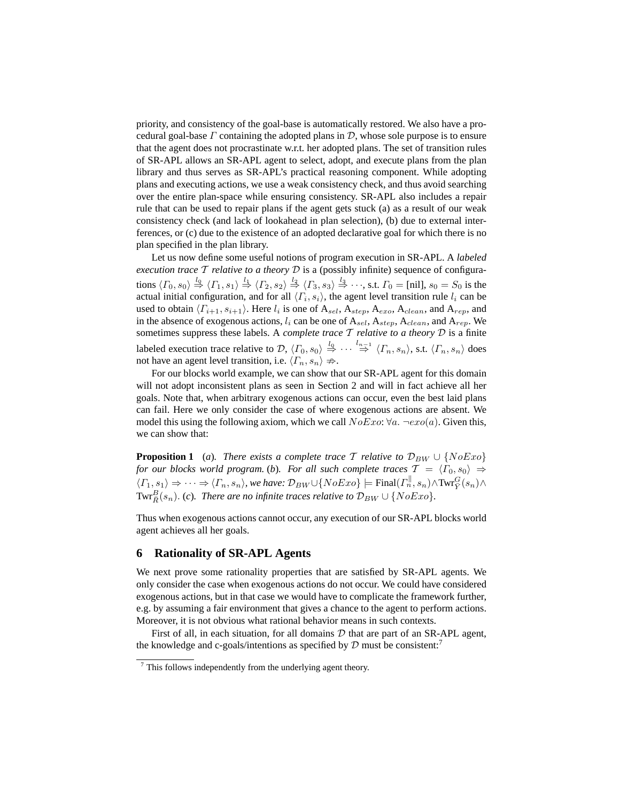priority, and consistency of the goal-base is automatically restored. We also have a procedural goal-base  $\Gamma$  containing the adopted plans in  $\mathcal{D}$ , whose sole purpose is to ensure that the agent does not procrastinate w.r.t. her adopted plans. The set of transition rules of SR-APL allows an SR-APL agent to select, adopt, and execute plans from the plan library and thus serves as SR-APL's practical reasoning component. While adopting plans and executing actions, we use a weak consistency check, and thus avoid searching over the entire plan-space while ensuring consistency. SR-APL also includes a repair rule that can be used to repair plans if the agent gets stuck (a) as a result of our weak consistency check (and lack of lookahead in plan selection), (b) due to external interferences, or (c) due to the existence of an adopted declarative goal for which there is no plan specified in the plan library.

Let us now define some useful notions of program execution in SR-APL. A *labeled execution trace* T *relative to a theory* D is a (possibly infinite) sequence of configurations  $\langle \Gamma_0, s_0 \rangle \stackrel{l_0}{\Rightarrow} \langle \Gamma_1, s_1 \rangle \stackrel{l_1}{\Rightarrow} \langle \Gamma_2, s_2 \rangle \stackrel{l_2}{\Rightarrow} \langle \Gamma_3, s_3 \rangle \stackrel{l_3}{\Rightarrow} \cdots$ , s.t.  $\Gamma_0 = \text{[nil]}, s_0 = S_0$  is the actual initial configuration, and for all  $\langle \Gamma_i, s_i \rangle$ , the agent level transition rule  $l_i$  can be used to obtain  $\langle \Gamma_{i+1}, s_{i+1} \rangle$ . Here  $l_i$  is one of  $A_{sel}$ ,  $A_{step}$ ,  $A_{exo}$ ,  $A_{clean}$ , and  $A_{rep}$ , and in the absence of exogenous actions,  $l_i$  can be one of  $A_{sel}$ ,  $A_{step}$ ,  $A_{clean}$ , and  $A_{rep}$ . We sometimes suppress these labels. A *complete trace* T *relative to a theory* D is a finite labeled execution trace relative to  $\mathcal{D}, \langle \Gamma_0, s_0 \rangle \stackrel{l_0}{\Rightarrow} \cdots \stackrel{l_{n-1}}{\Rightarrow} \langle \Gamma_n, s_n \rangle$ , s.t.  $\langle \Gamma_n, s_n \rangle$  does not have an agent level transition, i.e.  $\langle \Gamma_n, s_n \rangle \nRightarrow$ .

For our blocks world example, we can show that our SR-APL agent for this domain will not adopt inconsistent plans as seen in Section 2 and will in fact achieve all her goals. Note that, when arbitrary exogenous actions can occur, even the best laid plans can fail. Here we only consider the case of where exogenous actions are absent. We model this using the following axiom, which we call  $NoEx$   $\forall a. \neg ex$   $o(a)$ . Given this, we can show that:

**Proposition 1** (*a*). There exists a complete trace T relative to  $\mathcal{D}_{BW} \cup \{NoExo\}$ *for our blocks world program.* (*b*)*. For all such complete traces*  $\mathcal{T} = \langle \Gamma_0, s_0 \rangle \Rightarrow$  $\langle \Gamma_1, s_1 \rangle \Rightarrow \cdots \Rightarrow \langle \Gamma_n, s_n \rangle$ , we have:  $\mathcal{D}_{BW} \cup \{NoExo\} \models \text{Final}(\Gamma^{\parallel}_n, s_n) \wedge \text{Twr}_{\bar{Y}}^G(s_n) \wedge$  $\text{Twr}_{\bar{R}}^{B}(s_{n}).$  (*c*). There are no infinite traces relative to  $\mathcal{D}_{BW}\cup\{NoExo\}.$ 

Thus when exogenous actions cannot occur, any execution of our SR-APL blocks world agent achieves all her goals.

## **6 Rationality of SR-APL Agents**

We next prove some rationality properties that are satisfied by SR-APL agents. We only consider the case when exogenous actions do not occur. We could have considered exogenous actions, but in that case we would have to complicate the framework further, e.g. by assuming a fair environment that gives a chance to the agent to perform actions. Moreover, it is not obvious what rational behavior means in such contexts.

First of all, in each situation, for all domains  $D$  that are part of an SR-APL agent, the knowledge and c-goals/intentions as specified by  $D$  must be consistent:<sup>7</sup>

 $\frac{7}{7}$  This follows independently from the underlying agent theory.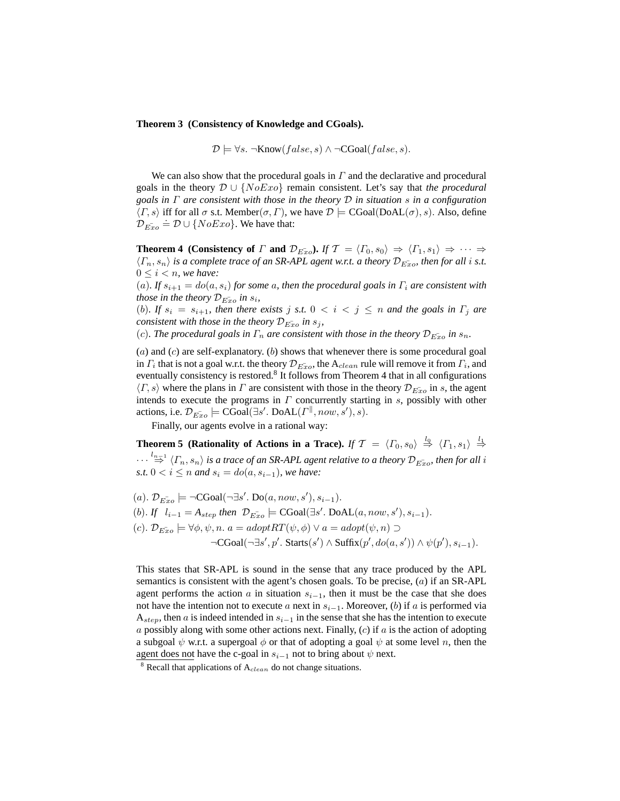#### **Theorem 3 (Consistency of Knowledge and CGoals).**

$$
\mathcal{D} \models \forall s. \ \neg \text{Know}(false, s) \land \neg \text{CGoal}(false, s).
$$

We can also show that the procedural goals in  $\Gamma$  and the declarative and procedural goals in the theory D ∪ {NoExo} remain consistent. Let's say that *the procedural goals in* Γ *are consistent with those in the theory* D *in situation* s *in a configuration*  $\langle \Gamma, s \rangle$  iff for all  $\sigma$  s.t. Member $(\sigma, \Gamma)$ , we have  $\mathcal{D} \models CGoal(DoAL(\sigma), s)$ . Also, define  $\mathcal{D}_{\vec{Exo}} \doteq \mathcal{D} \cup \{NoExo\}$ . We have that:

**Theorem 4 (Consistency of**  $\Gamma$  **and**  $\mathcal{D}_{\overline{Ex}o}$ ). If  $\mathcal{T} = \langle \Gamma_0, s_0 \rangle \Rightarrow \langle \Gamma_1, s_1 \rangle \Rightarrow \cdots \Rightarrow$  $\langle \Gamma_n, s_n \rangle$  *is a complete trace of an SR-APL agent w.r.t. a theory*  $\mathcal{D}_{E\bar{x}o}$ *, then for all i s.t.*  $0 \leq i < n$ , we have:

(a). If  $s_{i+1} = do(a, s_i)$  *for some a, then the procedural goals in*  $\Gamma_i$  *are consistent with those in the theory*  $\mathcal{D}_{E\bar{x}o}$  *in*  $s_i$ *,* 

(b). If  $s_i = s_{i+1}$ , then there exists j s.t.  $0 < i < j \le n$  and the goals in  $\Gamma_i$  are *consistent with those in the theory*  $D_{E_{x0}}$  *in*  $s_j$ *,* 

(c). The procedural goals in  $\Gamma_n$  are consistent with those in the theory  $\mathcal{D}_{E_{x0}}$  in  $s_n$ .

 $(a)$  and  $(c)$  are self-explanatory.  $(b)$  shows that whenever there is some procedural goal in  $\varGamma_i$  that is not a goal w.r.t. the theory  $\mathcal{D}_{\vec{Ex}o}$ , the  $\mathrm{A}_{clean}$  rule will remove it from  $\varGamma_i$ , and eventually consistency is restored.<sup>8</sup> It follows from Theorem 4 that in all configurations  $\langle \Gamma, s \rangle$  where the plans in  $\Gamma$  are consistent with those in the theory  $\mathcal{D}_{E\bar{x}o}$  in s, the agent intends to execute the programs in  $\Gamma$  concurrently starting in  $s$ , possibly with other actions, i.e.  $\mathcal{D}_{E\bar{x}o} \models \text{CGoal}(\exists s'.\text{DoAL}(I^{\parallel}, now, s'), s).$ 

Finally, our agents evolve in a rational way:

**Theorem 5 (Rationality of Actions in a Trace).** *If*  $\mathcal{T} = \langle \Gamma_0, s_0 \rangle \stackrel{l_0}{\Rightarrow} \langle \Gamma_1, s_1 \rangle \stackrel{l_1}{\Rightarrow}$  $\cdots \stackrel{l_{n-1}}{\Rightarrow} \langle \varGamma_n, s_n \rangle$  is a trace of an SR-APL agent relative to a theory  $\mathcal{D}_{E\overline{x}o}$ , then for all  $i$ *s.t.* 0 < *i* ≤ *n and*  $s_i = do(a, s_{i-1})$ *, we have:* 

 $(a)$ .  $\mathcal{D}_{E\bar{x}o} \models \neg \text{CGoal}(\neg \exists s'.\ \text{Do}(a, now, s'), s_{i-1}).$ (b). *If*  $l_{i-1} = A_{step}$  then  $\mathcal{D}_{Ex} \models \text{CGoal}(\exists s'.\text{DoAL}(a, now, s'), s_{i-1}).$ (c).  $\mathcal{D}_{E_{TO}} \models \forall \phi, \psi, n. a = adoptRT(\psi, \phi) \lor a = adopt(\psi, n) \supset$  $\neg \text{CGoal}(\neg \exists s', p'. \text{Starts}(s') \land \text{Suffix}(p', do(a, s')) \land \psi(p'), s_{i-1}).$ 

This states that SR-APL is sound in the sense that any trace produced by the APL semantics is consistent with the agent's chosen goals. To be precise, (a) if an SR-APL agent performs the action  $a$  in situation  $s_{i-1}$ , then it must be the case that she does not have the intention not to execute a next in  $s_{i-1}$ . Moreover, (b) if a is performed via  $A_{step}$ , then a is indeed intended in  $s_{i-1}$  in the sense that she has the intention to execute a possibly along with some other actions next. Finally,  $(c)$  if a is the action of adopting a subgoal  $\psi$  w.r.t. a supergoal  $\phi$  or that of adopting a goal  $\psi$  at some level n, then the agent does not have the c-goal in  $s_{i-1}$  not to bring about  $\psi$  next.

<sup>&</sup>lt;sup>8</sup> Recall that applications of  $A_{clean}$  do not change situations.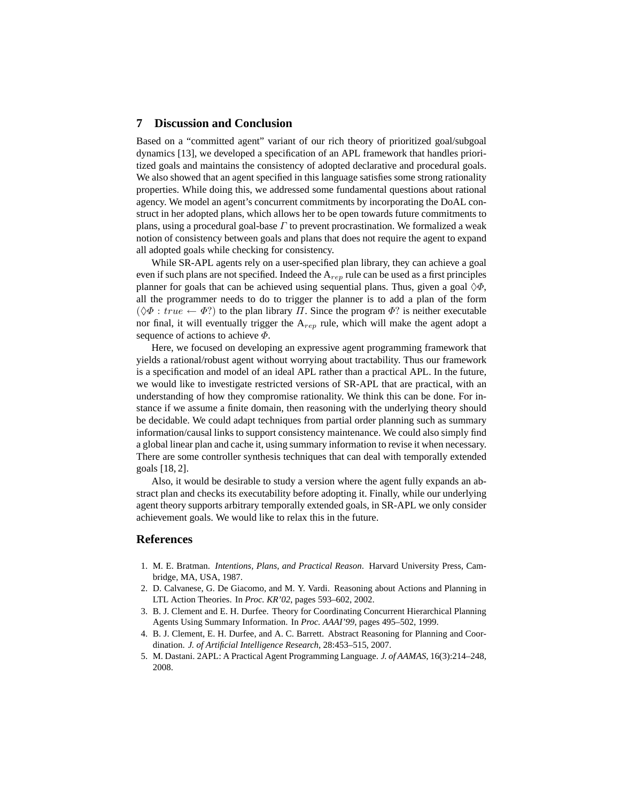## **7 Discussion and Conclusion**

Based on a "committed agent" variant of our rich theory of prioritized goal/subgoal dynamics [13], we developed a specification of an APL framework that handles prioritized goals and maintains the consistency of adopted declarative and procedural goals. We also showed that an agent specified in this language satisfies some strong rationality properties. While doing this, we addressed some fundamental questions about rational agency. We model an agent's concurrent commitments by incorporating the DoAL construct in her adopted plans, which allows her to be open towards future commitments to plans, using a procedural goal-base  $\Gamma$  to prevent procrastination. We formalized a weak notion of consistency between goals and plans that does not require the agent to expand all adopted goals while checking for consistency.

While SR-APL agents rely on a user-specified plan library, they can achieve a goal even if such plans are not specified. Indeed the  $A_{rep}$  rule can be used as a first principles planner for goals that can be achieved using sequential plans. Thus, given a goal  $\Diamond \Phi$ , all the programmer needs to do to trigger the planner is to add a plan of the form  $(\Diamond \Phi : true \leftarrow \Phi$ ?) to the plan library  $\Pi$ . Since the program  $\Phi$ ? is neither executable nor final, it will eventually trigger the  $A_{rep}$  rule, which will make the agent adopt a sequence of actions to achieve  $\Phi$ .

Here, we focused on developing an expressive agent programming framework that yields a rational/robust agent without worrying about tractability. Thus our framework is a specification and model of an ideal APL rather than a practical APL. In the future, we would like to investigate restricted versions of SR-APL that are practical, with an understanding of how they compromise rationality. We think this can be done. For instance if we assume a finite domain, then reasoning with the underlying theory should be decidable. We could adapt techniques from partial order planning such as summary information/causal links to support consistency maintenance. We could also simply find a global linear plan and cache it, using summary information to revise it when necessary. There are some controller synthesis techniques that can deal with temporally extended goals [18, 2].

Also, it would be desirable to study a version where the agent fully expands an abstract plan and checks its executability before adopting it. Finally, while our underlying agent theory supports arbitrary temporally extended goals, in SR-APL we only consider achievement goals. We would like to relax this in the future.

## **References**

- 1. M. E. Bratman. *Intentions, Plans, and Practical Reason*. Harvard University Press, Cambridge, MA, USA, 1987.
- 2. D. Calvanese, G. De Giacomo, and M. Y. Vardi. Reasoning about Actions and Planning in LTL Action Theories. In *Proc. KR'02*, pages 593–602, 2002.
- 3. B. J. Clement and E. H. Durfee. Theory for Coordinating Concurrent Hierarchical Planning Agents Using Summary Information. In *Proc. AAAI'99*, pages 495–502, 1999.
- 4. B. J. Clement, E. H. Durfee, and A. C. Barrett. Abstract Reasoning for Planning and Coordination. *J. of Artificial Intelligence Research*, 28:453–515, 2007.
- 5. M. Dastani. 2APL: A Practical Agent Programming Language. *J. of AAMAS*, 16(3):214–248, 2008.